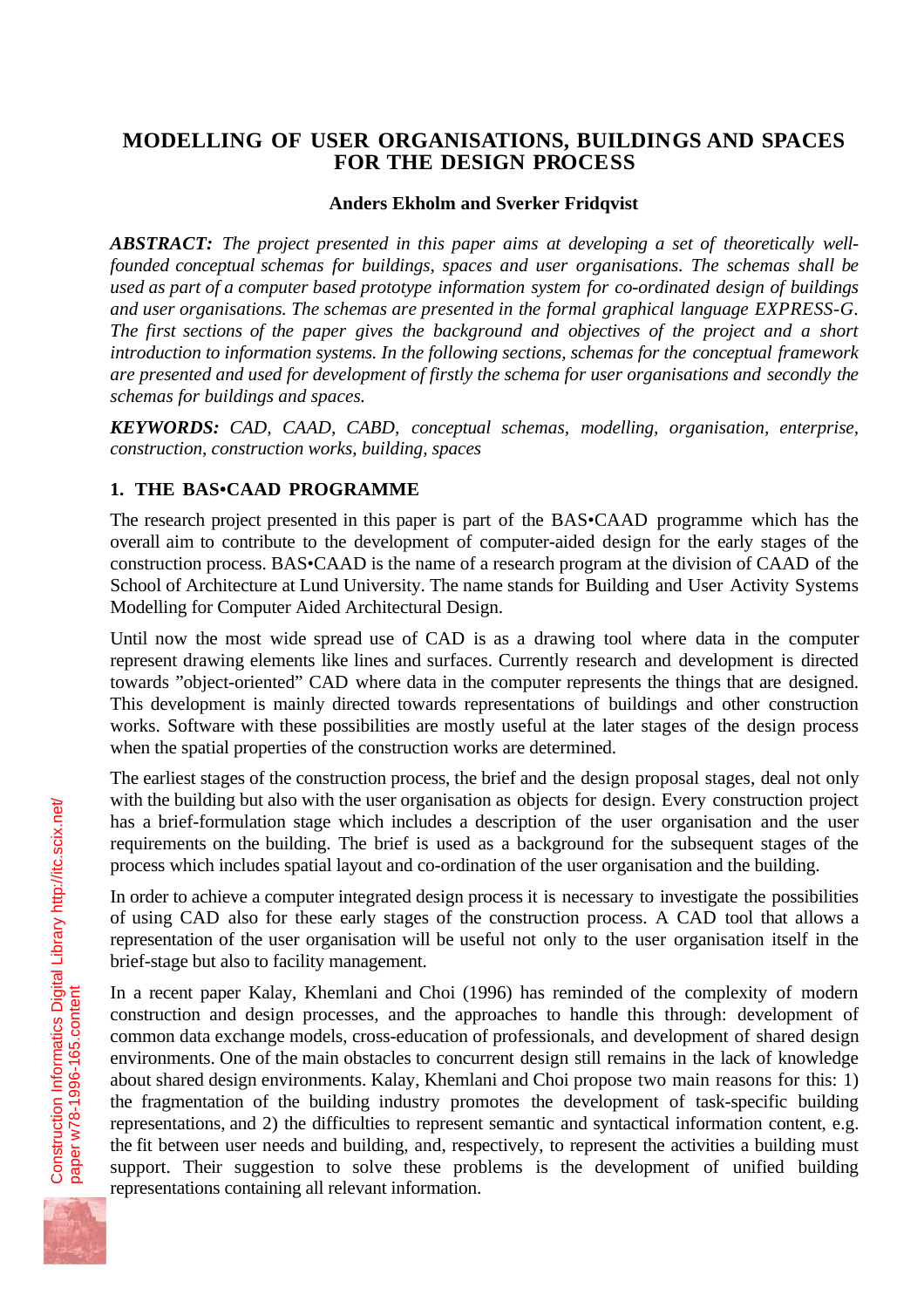# **MODELLING OF USER ORGANISATIONS, BUILDINGS AND SPACES FOR THE DESIGN PROCESS**

#### **Anders Ekholm and Sverker Fridqvist**

*ABSTRACT: The project presented in this paper aims at developing a set of theoretically wellfounded conceptual schemas for buildings, spaces and user organisations. The schemas shall be used as part of a computer based prototype information system for co-ordinated design of buildings and user organisations. The schemas are presented in the formal graphical language EXPRESS-G. The first sections of the paper gives the background and objectives of the project and a short introduction to information systems. In the following sections, schemas for the conceptual framework are presented and used for development of firstly the schema for user organisations and secondly the schemas for buildings and spaces.*

*KEYWORDS: CAD, CAAD, CABD, conceptual schemas, modelling, organisation, enterprise, construction, construction works, building, spaces*

# **1. THE BAS•CAAD PROGRAMME**

The research project presented in this paper is part of the BAS•CAAD programme which has the overall aim to contribute to the development of computer-aided design for the early stages of the construction process. BAS•CAAD is the name of a research program at the division of CAAD of the School of Architecture at Lund University. The name stands for Building and User Activity Systems Modelling for Computer Aided Architectural Design.

Until now the most wide spread use of CAD is as a drawing tool where data in the computer represent drawing elements like lines and surfaces. Currently research and development is directed towards "object-oriented" CAD where data in the computer represents the things that are designed. This development is mainly directed towards representations of buildings and other construction works. Software with these possibilities are mostly useful at the later stages of the design process when the spatial properties of the construction works are determined.

The earliest stages of the construction process, the brief and the design proposal stages, deal not only with the building but also with the user organisation as objects for design. Every construction project has a brief-formulation stage which includes a description of the user organisation and the user requirements on the building. The brief is used as a background for the subsequent stages of the process which includes spatial layout and co-ordination of the user organisation and the building.

In order to achieve a computer integrated design process it is necessary to investigate the possibilities of using CAD also for these early stages of the construction process. A CAD tool that allows a representation of the user organisation will be useful not only to the user organisation itself in the brief-stage but also to facility management.

In a recent paper Kalay, Khemlani and Choi (1996) has reminded of the complexity of modern construction and design processes, and the approaches to handle this through: development of common data exchange models, cross-education of professionals, and development of shared design environments. One of the main obstacles to concurrent design still remains in the lack of knowledge about shared design environments. Kalay, Khemlani and Choi propose two main reasons for this: 1) the fragmentation of the building industry promotes the development of task-specific building representations, and 2) the difficulties to represent semantic and syntactical information content, e.g. the fit between user needs and building, and, respectively, to represent the activities a building must support. Their suggestion to solve these problems is the development of unified building representations containing all relevant information.

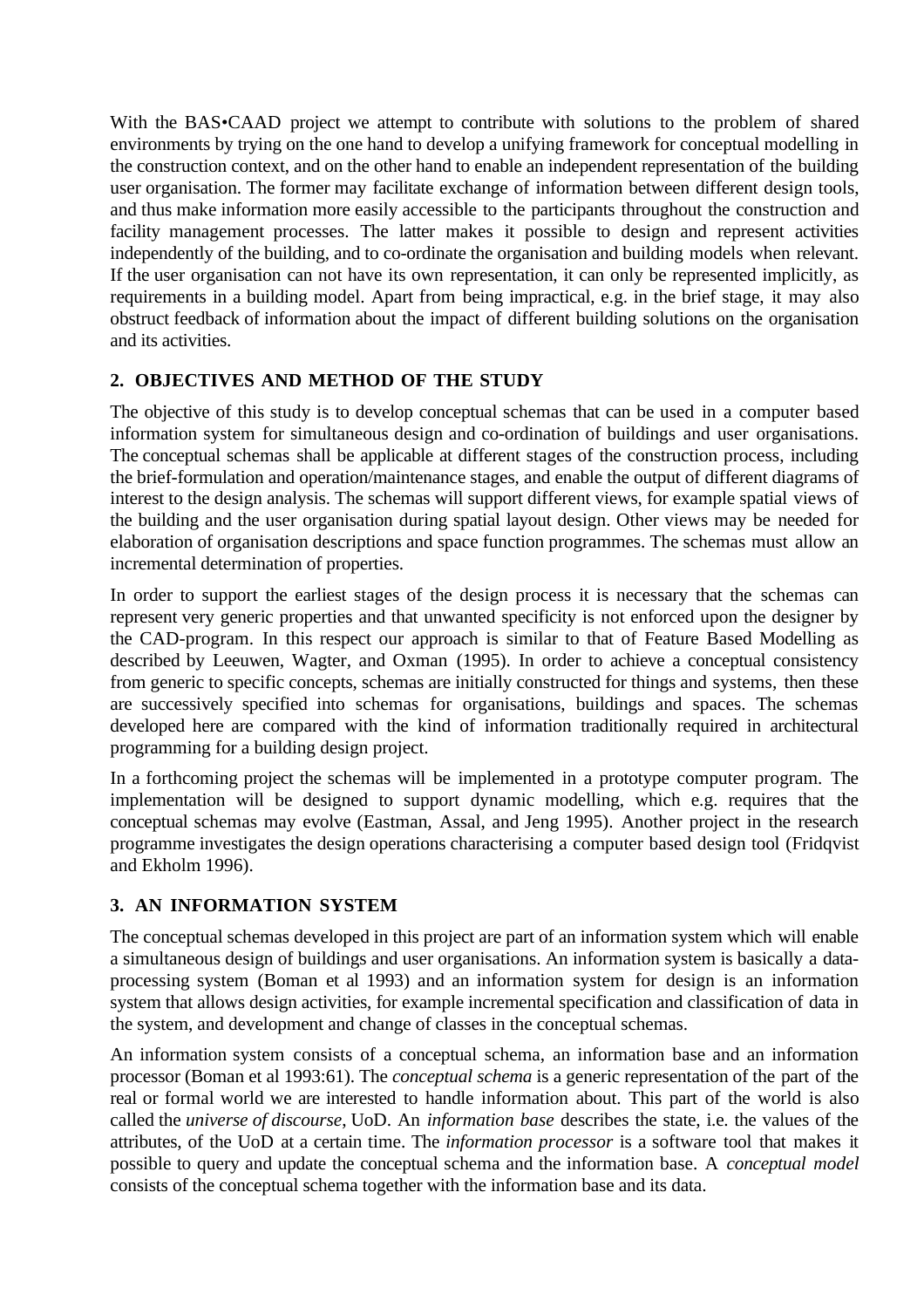With the BAS•CAAD project we attempt to contribute with solutions to the problem of shared environments by trying on the one hand to develop a unifying framework for conceptual modelling in the construction context, and on the other hand to enable an independent representation of the building user organisation. The former may facilitate exchange of information between different design tools, and thus make information more easily accessible to the participants throughout the construction and facility management processes. The latter makes it possible to design and represent activities independently of the building, and to co-ordinate the organisation and building models when relevant. If the user organisation can not have its own representation, it can only be represented implicitly, as requirements in a building model. Apart from being impractical, e.g. in the brief stage, it may also obstruct feedback of information about the impact of different building solutions on the organisation and its activities.

# **2. OBJECTIVES AND METHOD OF THE STUDY**

The objective of this study is to develop conceptual schemas that can be used in a computer based information system for simultaneous design and co-ordination of buildings and user organisations. The conceptual schemas shall be applicable at different stages of the construction process, including the brief-formulation and operation/maintenance stages, and enable the output of different diagrams of interest to the design analysis. The schemas will support different views, for example spatial views of the building and the user organisation during spatial layout design. Other views may be needed for elaboration of organisation descriptions and space function programmes. The schemas must allow an incremental determination of properties.

In order to support the earliest stages of the design process it is necessary that the schemas can represent very generic properties and that unwanted specificity is not enforced upon the designer by the CAD-program. In this respect our approach is similar to that of Feature Based Modelling as described by Leeuwen, Wagter, and Oxman (1995). In order to achieve a conceptual consistency from generic to specific concepts, schemas are initially constructed for things and systems, then these are successively specified into schemas for organisations, buildings and spaces. The schemas developed here are compared with the kind of information traditionally required in architectural programming for a building design project.

In a forthcoming project the schemas will be implemented in a prototype computer program. The implementation will be designed to support dynamic modelling, which e.g. requires that the conceptual schemas may evolve (Eastman, Assal, and Jeng 1995). Another project in the research programme investigates the design operations characterising a computer based design tool (Fridqvist and Ekholm 1996).

## **3. AN INFORMATION SYSTEM**

The conceptual schemas developed in this project are part of an information system which will enable a simultaneous design of buildings and user organisations. An information system is basically a dataprocessing system (Boman et al 1993) and an information system for design is an information system that allows design activities, for example incremental specification and classification of data in the system, and development and change of classes in the conceptual schemas.

An information system consists of a conceptual schema, an information base and an information processor (Boman et al 1993:61). The *conceptual schema* is a generic representation of the part of the real or formal world we are interested to handle information about. This part of the world is also called the *universe of discourse*, UoD. An *information base* describes the state, i.e. the values of the attributes, of the UoD at a certain time. The *information processor* is a software tool that makes it possible to query and update the conceptual schema and the information base. A *conceptual model* consists of the conceptual schema together with the information base and its data.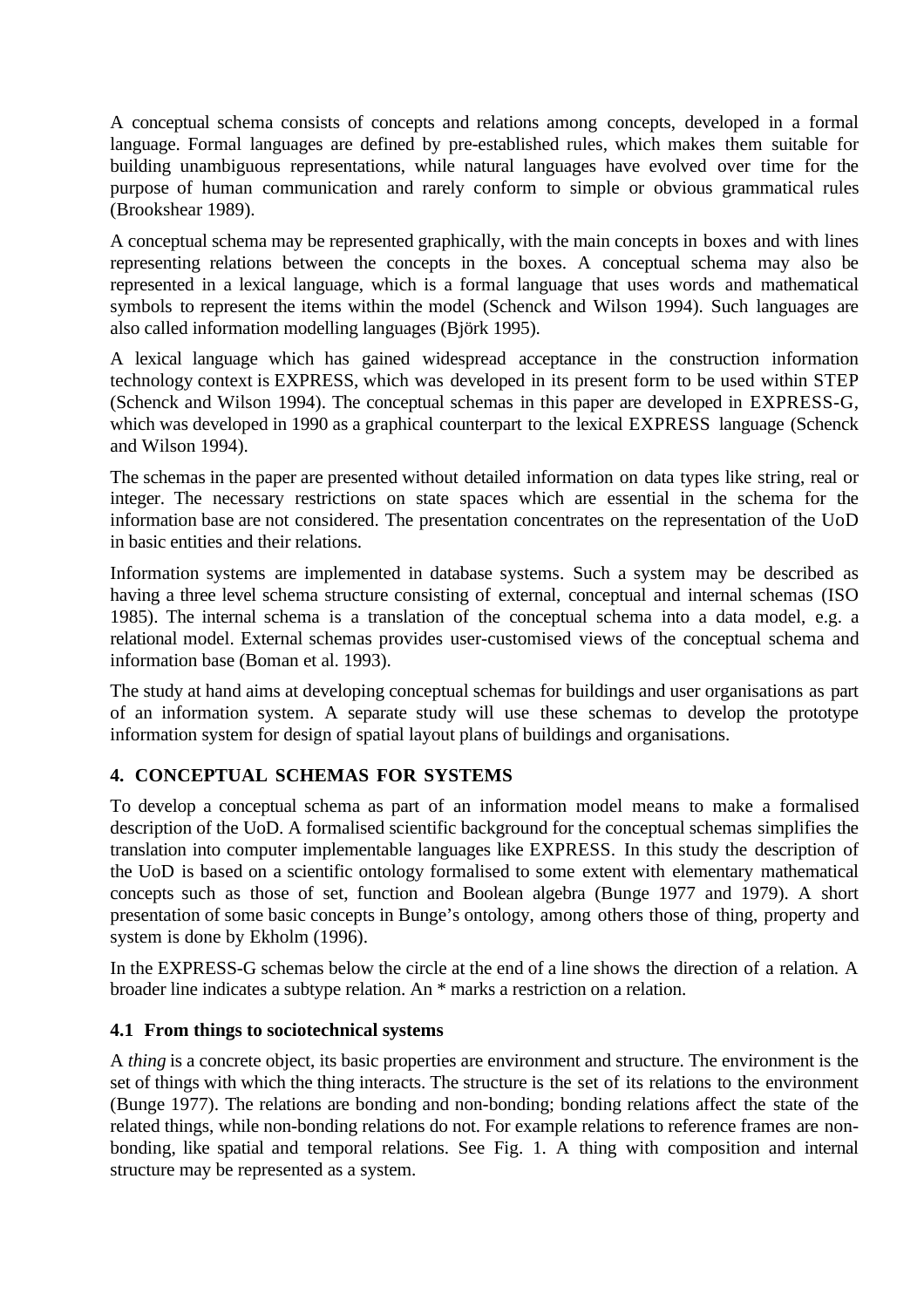A conceptual schema consists of concepts and relations among concepts, developed in a formal language. Formal languages are defined by pre-established rules, which makes them suitable for building unambiguous representations, while natural languages have evolved over time for the purpose of human communication and rarely conform to simple or obvious grammatical rules (Brookshear 1989).

A conceptual schema may be represented graphically, with the main concepts in boxes and with lines representing relations between the concepts in the boxes. A conceptual schema may also be represented in a lexical language, which is a formal language that uses words and mathematical symbols to represent the items within the model (Schenck and Wilson 1994). Such languages are also called information modelling languages (Björk 1995).

A lexical language which has gained widespread acceptance in the construction information technology context is EXPRESS, which was developed in its present form to be used within STEP (Schenck and Wilson 1994). The conceptual schemas in this paper are developed in EXPRESS-G, which was developed in 1990 as a graphical counterpart to the lexical EXPRESS language (Schenck and Wilson 1994).

The schemas in the paper are presented without detailed information on data types like string, real or integer. The necessary restrictions on state spaces which are essential in the schema for the information base are not considered. The presentation concentrates on the representation of the UoD in basic entities and their relations.

Information systems are implemented in database systems. Such a system may be described as having a three level schema structure consisting of external, conceptual and internal schemas (ISO 1985). The internal schema is a translation of the conceptual schema into a data model, e.g. a relational model. External schemas provides user-customised views of the conceptual schema and information base (Boman et al. 1993).

The study at hand aims at developing conceptual schemas for buildings and user organisations as part of an information system. A separate study will use these schemas to develop the prototype information system for design of spatial layout plans of buildings and organisations.

# **4. CONCEPTUAL SCHEMAS FOR SYSTEMS**

To develop a conceptual schema as part of an information model means to make a formalised description of the UoD. A formalised scientific background for the conceptual schemas simplifies the translation into computer implementable languages like EXPRESS. In this study the description of the UoD is based on a scientific ontology formalised to some extent with elementary mathematical concepts such as those of set, function and Boolean algebra (Bunge 1977 and 1979). A short presentation of some basic concepts in Bunge's ontology, among others those of thing, property and system is done by Ekholm (1996).

In the EXPRESS-G schemas below the circle at the end of a line shows the direction of a relation. A broader line indicates a subtype relation. An \* marks a restriction on a relation.

## **4.1 From things to sociotechnical systems**

A *thing* is a concrete object, its basic properties are environment and structure. The environment is the set of things with which the thing interacts. The structure is the set of its relations to the environment (Bunge 1977). The relations are bonding and non-bonding; bonding relations affect the state of the related things, while non-bonding relations do not. For example relations to reference frames are nonbonding, like spatial and temporal relations. See Fig. 1. A thing with composition and internal structure may be represented as a system.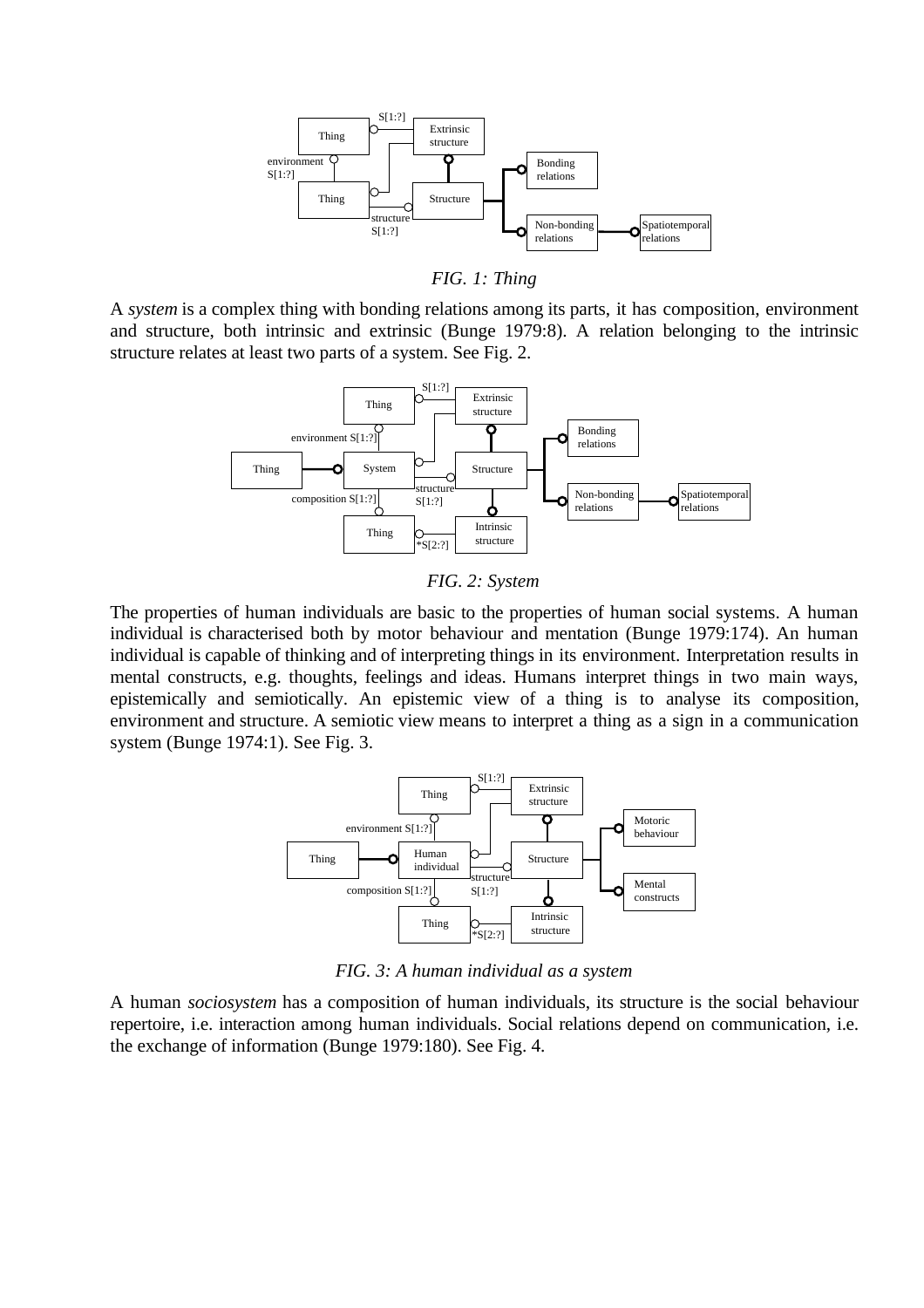

*FIG. 1: Thing*

A *system* is a complex thing with bonding relations among its parts, it has composition, environment and structure, both intrinsic and extrinsic (Bunge 1979:8). A relation belonging to the intrinsic structure relates at least two parts of a system. See Fig. 2.



*FIG. 2: System*

The properties of human individuals are basic to the properties of human social systems. A human individual is characterised both by motor behaviour and mentation (Bunge 1979:174). An human individual is capable of thinking and of interpreting things in its environment. Interpretation results in mental constructs, e.g. thoughts, feelings and ideas. Humans interpret things in two main ways, epistemically and semiotically. An epistemic view of a thing is to analyse its composition, environment and structure. A semiotic view means to interpret a thing as a sign in a communication system (Bunge 1974:1). See Fig. 3.



*FIG. 3: A human individual as a system*

A human *sociosystem* has a composition of human individuals, its structure is the social behaviour repertoire, i.e. interaction among human individuals. Social relations depend on communication, i.e. the exchange of information (Bunge 1979:180). See Fig. 4.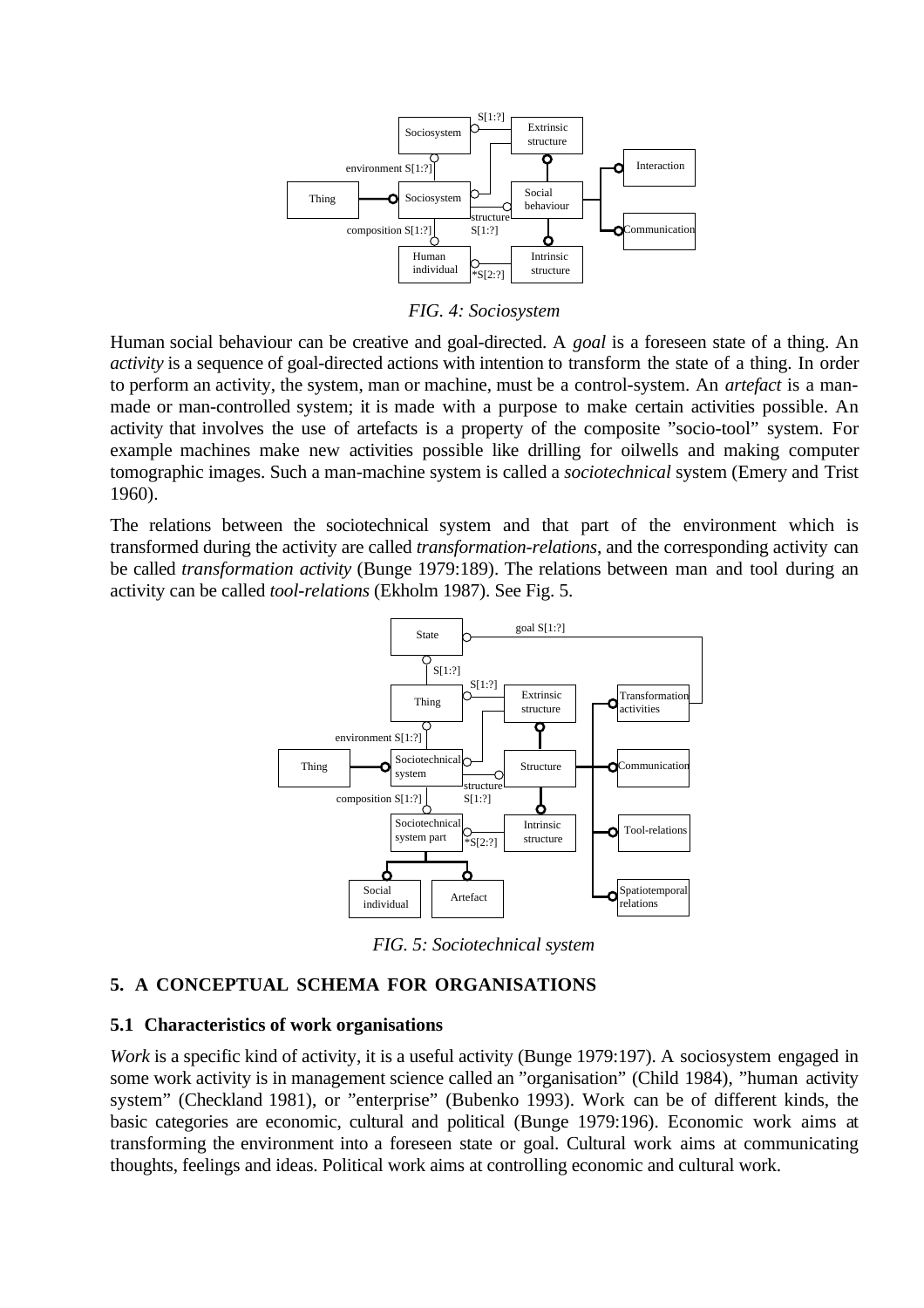

*FIG. 4: Sociosystem*

Human social behaviour can be creative and goal-directed. A *goal* is a foreseen state of a thing. An *activity* is a sequence of goal-directed actions with intention to transform the state of a thing. In order to perform an activity, the system, man or machine, must be a control-system. An *artefact* is a manmade or man-controlled system; it is made with a purpose to make certain activities possible. An activity that involves the use of artefacts is a property of the composite "socio-tool" system. For example machines make new activities possible like drilling for oilwells and making computer tomographic images. Such a man-machine system is called a *sociotechnical* system (Emery and Trist 1960).

The relations between the sociotechnical system and that part of the environment which is transformed during the activity are called *transformation-relations*, and the corresponding activity can be called *transformation activity* (Bunge 1979:189). The relations between man and tool during an activity can be called *tool-relations* (Ekholm 1987). See Fig. 5.



*FIG. 5: Sociotechnical system*

# **5. A CONCEPTUAL SCHEMA FOR ORGANISATIONS**

## **5.1 Characteristics of work organisations**

*Work* is a specific kind of activity, it is a useful activity (Bunge 1979:197). A sociosystem engaged in some work activity is in management science called an "organisation" (Child 1984), "human activity system" (Checkland 1981), or "enterprise" (Bubenko 1993). Work can be of different kinds, the basic categories are economic, cultural and political (Bunge 1979:196). Economic work aims at transforming the environment into a foreseen state or goal. Cultural work aims at communicating thoughts, feelings and ideas. Political work aims at controlling economic and cultural work.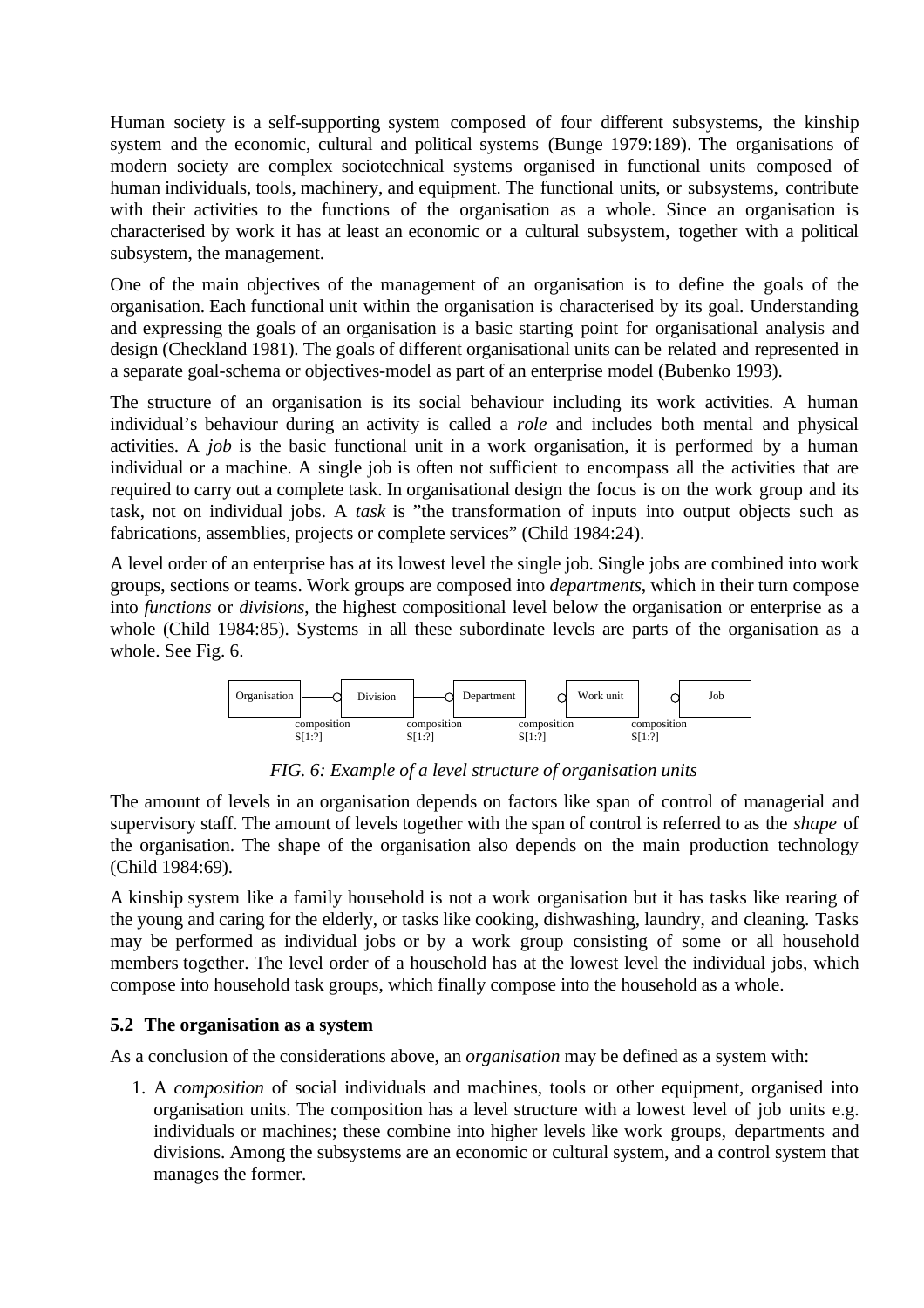Human society is a self-supporting system composed of four different subsystems, the kinship system and the economic, cultural and political systems (Bunge 1979:189). The organisations of modern society are complex sociotechnical systems organised in functional units composed of human individuals, tools, machinery, and equipment. The functional units, or subsystems, contribute with their activities to the functions of the organisation as a whole. Since an organisation is characterised by work it has at least an economic or a cultural subsystem, together with a political subsystem, the management.

One of the main objectives of the management of an organisation is to define the goals of the organisation. Each functional unit within the organisation is characterised by its goal. Understanding and expressing the goals of an organisation is a basic starting point for organisational analysis and design (Checkland 1981). The goals of different organisational units can be related and represented in a separate goal-schema or objectives-model as part of an enterprise model (Bubenko 1993).

The structure of an organisation is its social behaviour including its work activities. A human individual's behaviour during an activity is called a *role* and includes both mental and physical activities. A *job* is the basic functional unit in a work organisation, it is performed by a human individual or a machine. A single job is often not sufficient to encompass all the activities that are required to carry out a complete task. In organisational design the focus is on the work group and its task, not on individual jobs. A *task* is "the transformation of inputs into output objects such as fabrications, assemblies, projects or complete services" (Child 1984:24).

A level order of an enterprise has at its lowest level the single job. Single jobs are combined into work groups, sections or teams. Work groups are composed into *departments*, which in their turn compose into *functions* or *divisions*, the highest compositional level below the organisation or enterprise as a whole (Child 1984:85). Systems in all these subordinate levels are parts of the organisation as a whole. See Fig. 6.



*FIG. 6: Example of a level structure of organisation units*

The amount of levels in an organisation depends on factors like span of control of managerial and supervisory staff. The amount of levels together with the span of control is referred to as the *shape* of the organisation. The shape of the organisation also depends on the main production technology (Child 1984:69).

A kinship system like a family household is not a work organisation but it has tasks like rearing of the young and caring for the elderly, or tasks like cooking, dishwashing, laundry, and cleaning. Tasks may be performed as individual jobs or by a work group consisting of some or all household members together. The level order of a household has at the lowest level the individual jobs, which compose into household task groups, which finally compose into the household as a whole.

## **5.2 The organisation as a system**

As a conclusion of the considerations above, an *organisation* may be defined as a system with:

1. A *composition* of social individuals and machines, tools or other equipment, organised into organisation units. The composition has a level structure with a lowest level of job units e.g. individuals or machines; these combine into higher levels like work groups, departments and divisions. Among the subsystems are an economic or cultural system, and a control system that manages the former.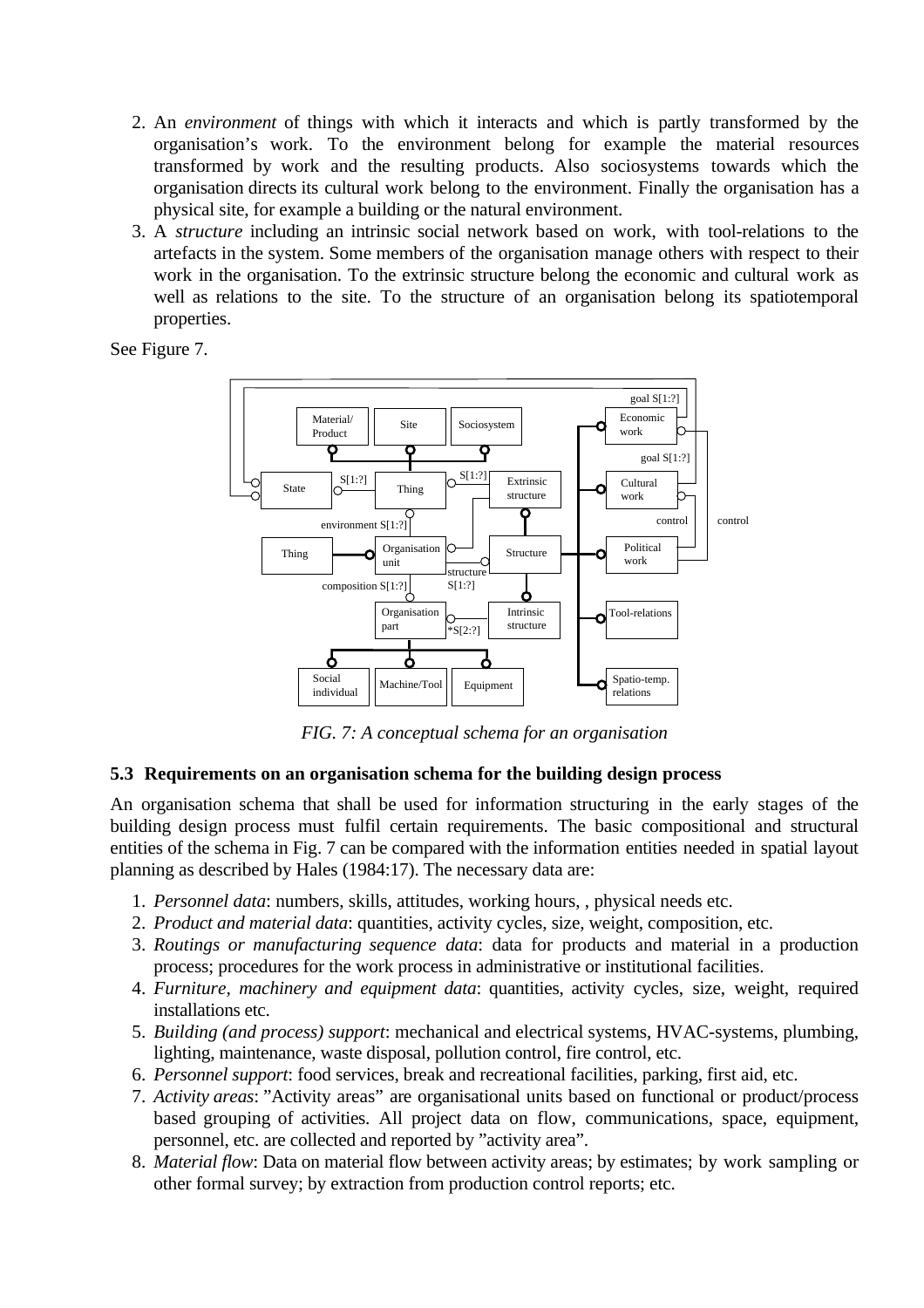- 2. An *environment* of things with which it interacts and which is partly transformed by the organisation's work. To the environment belong for example the material resources transformed by work and the resulting products. Also sociosystems towards which the organisation directs its cultural work belong to the environment. Finally the organisation has a physical site, for example a building or the natural environment.
- 3. A *structure* including an intrinsic social network based on work, with tool-relations to the artefacts in the system. Some members of the organisation manage others with respect to their work in the organisation. To the extrinsic structure belong the economic and cultural work as well as relations to the site. To the structure of an organisation belong its spatiotemporal properties.

See Figure 7.



*FIG. 7: A conceptual schema for an organisation*

## **5.3 Requirements on an organisation schema for the building design process**

An organisation schema that shall be used for information structuring in the early stages of the building design process must fulfil certain requirements. The basic compositional and structural entities of the schema in Fig. 7 can be compared with the information entities needed in spatial layout planning as described by Hales (1984:17). The necessary data are:

- 1. *Personnel data*: numbers, skills, attitudes, working hours, , physical needs etc.
- 2. *Product and material data*: quantities, activity cycles, size, weight, composition, etc.
- 3. *Routings or manufacturing sequence data*: data for products and material in a production process; procedures for the work process in administrative or institutional facilities.
- 4. *Furniture, machinery and equipment data*: quantities, activity cycles, size, weight, required installations etc.
- 5. *Building (and process) support*: mechanical and electrical systems, HVAC-systems, plumbing, lighting, maintenance, waste disposal, pollution control, fire control, etc.
- 6. *Personnel support*: food services, break and recreational facilities, parking, first aid, etc.
- 7. *Activity areas*: "Activity areas" are organisational units based on functional or product/process based grouping of activities. All project data on flow, communications, space, equipment, personnel, etc. are collected and reported by "activity area".
- 8. *Material flow*: Data on material flow between activity areas; by estimates; by work sampling or other formal survey; by extraction from production control reports; etc.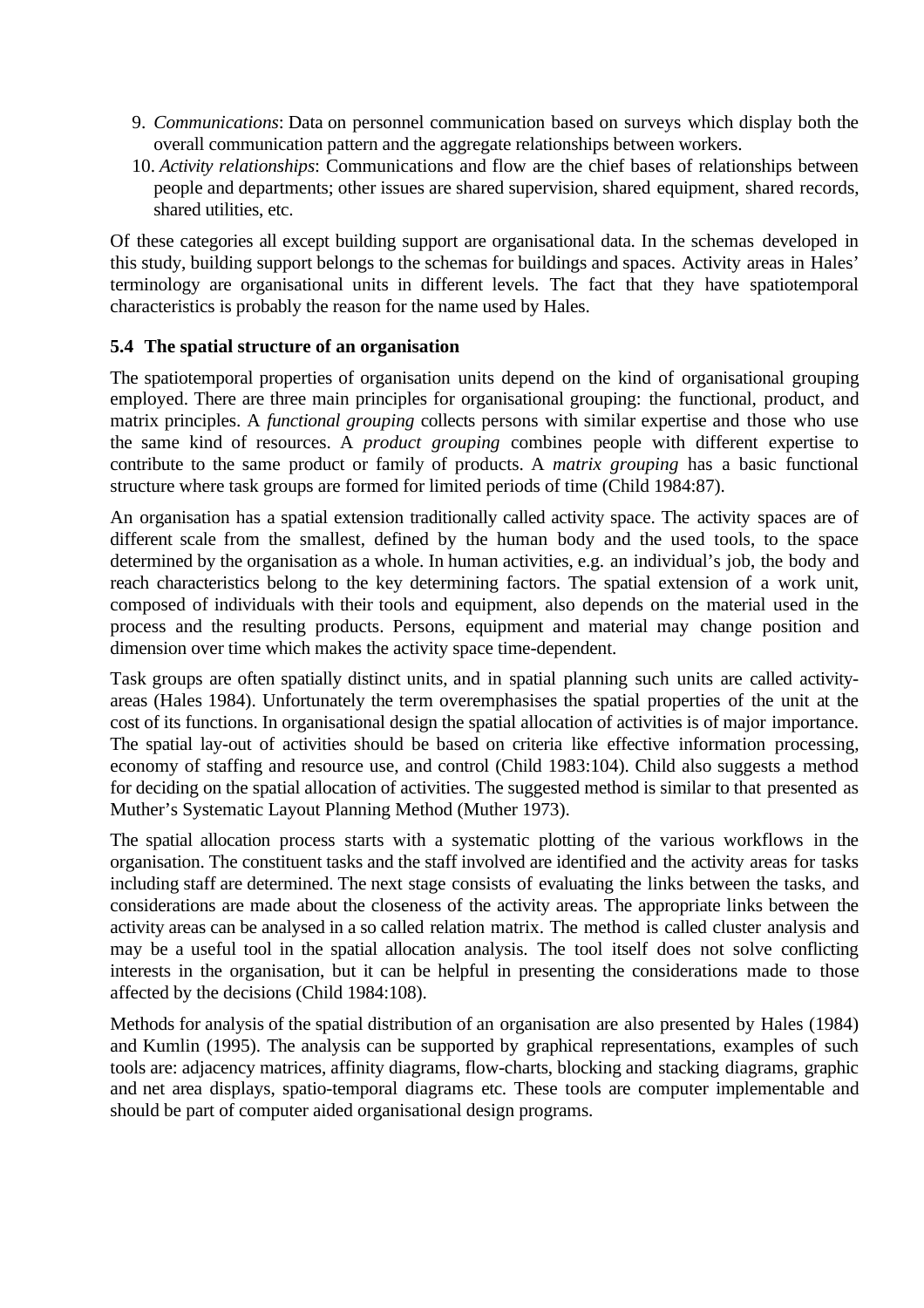- 9. *Communications*: Data on personnel communication based on surveys which display both the overall communication pattern and the aggregate relationships between workers.
- 10. *Activity relationships*: Communications and flow are the chief bases of relationships between people and departments; other issues are shared supervision, shared equipment, shared records, shared utilities, etc.

Of these categories all except building support are organisational data. In the schemas developed in this study, building support belongs to the schemas for buildings and spaces. Activity areas in Hales' terminology are organisational units in different levels. The fact that they have spatiotemporal characteristics is probably the reason for the name used by Hales.

#### **5.4 The spatial structure of an organisation**

The spatiotemporal properties of organisation units depend on the kind of organisational grouping employed. There are three main principles for organisational grouping: the functional, product, and matrix principles. A *functional grouping* collects persons with similar expertise and those who use the same kind of resources. A *product grouping* combines people with different expertise to contribute to the same product or family of products. A *matrix grouping* has a basic functional structure where task groups are formed for limited periods of time (Child 1984:87).

An organisation has a spatial extension traditionally called activity space. The activity spaces are of different scale from the smallest, defined by the human body and the used tools, to the space determined by the organisation as a whole. In human activities, e.g. an individual's job, the body and reach characteristics belong to the key determining factors. The spatial extension of a work unit, composed of individuals with their tools and equipment, also depends on the material used in the process and the resulting products. Persons, equipment and material may change position and dimension over time which makes the activity space time-dependent.

Task groups are often spatially distinct units, and in spatial planning such units are called activityareas (Hales 1984). Unfortunately the term overemphasises the spatial properties of the unit at the cost of its functions. In organisational design the spatial allocation of activities is of major importance. The spatial lay-out of activities should be based on criteria like effective information processing, economy of staffing and resource use, and control (Child 1983:104). Child also suggests a method for deciding on the spatial allocation of activities. The suggested method is similar to that presented as Muther's Systematic Layout Planning Method (Muther 1973).

The spatial allocation process starts with a systematic plotting of the various workflows in the organisation. The constituent tasks and the staff involved are identified and the activity areas for tasks including staff are determined. The next stage consists of evaluating the links between the tasks, and considerations are made about the closeness of the activity areas. The appropriate links between the activity areas can be analysed in a so called relation matrix. The method is called cluster analysis and may be a useful tool in the spatial allocation analysis. The tool itself does not solve conflicting interests in the organisation, but it can be helpful in presenting the considerations made to those affected by the decisions (Child 1984:108).

Methods for analysis of the spatial distribution of an organisation are also presented by Hales (1984) and Kumlin (1995). The analysis can be supported by graphical representations, examples of such tools are: adjacency matrices, affinity diagrams, flow-charts, blocking and stacking diagrams, graphic and net area displays, spatio-temporal diagrams etc. These tools are computer implementable and should be part of computer aided organisational design programs.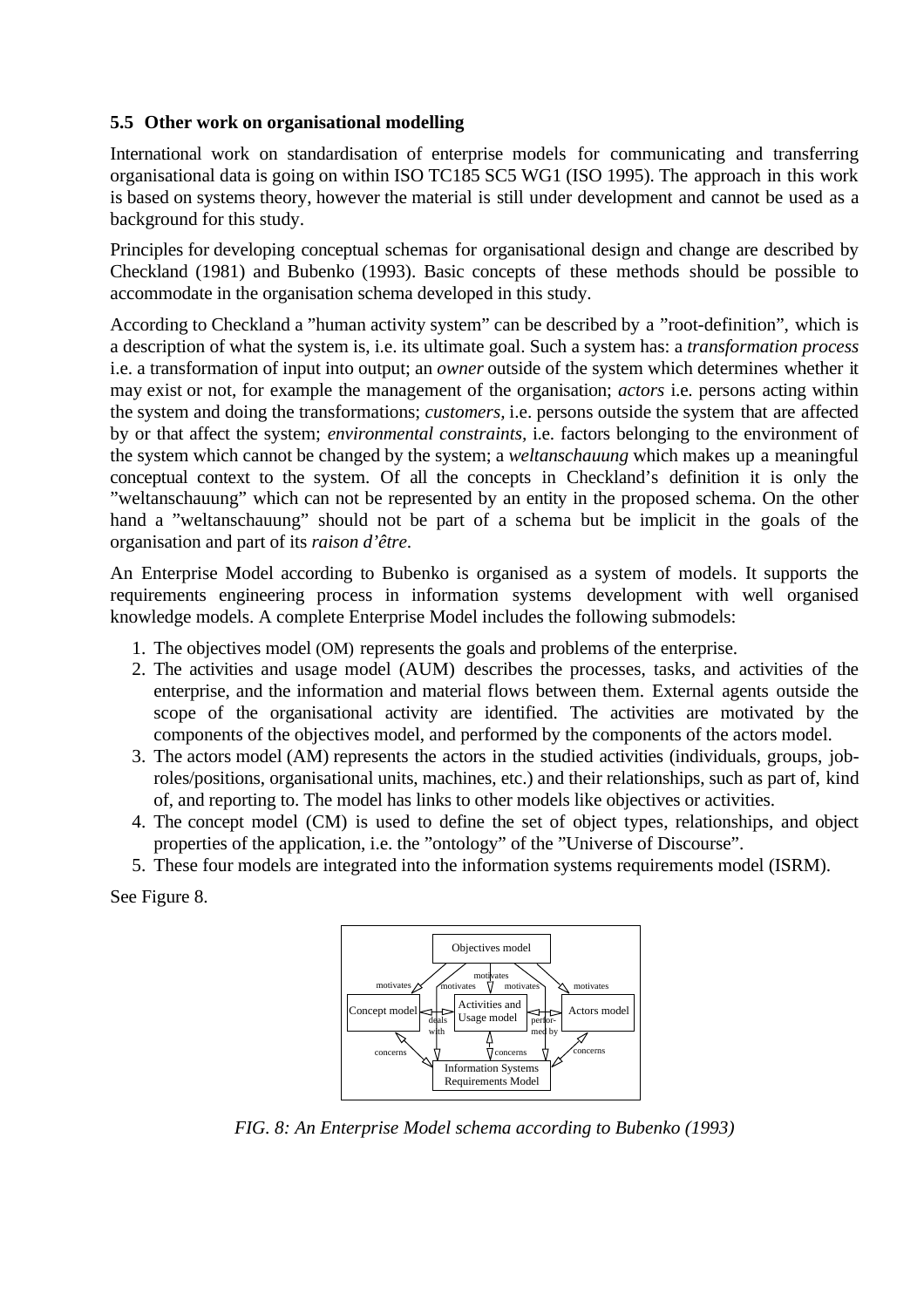## **5.5 Other work on organisational modelling**

International work on standardisation of enterprise models for communicating and transferring organisational data is going on within ISO TC185 SC5 WG1 (ISO 1995). The approach in this work is based on systems theory, however the material is still under development and cannot be used as a background for this study.

Principles for developing conceptual schemas for organisational design and change are described by Checkland (1981) and Bubenko (1993). Basic concepts of these methods should be possible to accommodate in the organisation schema developed in this study.

According to Checkland a "human activity system" can be described by a "root-definition", which is a description of what the system is, i.e. its ultimate goal. Such a system has: a *transformation process* i.e. a transformation of input into output; an *owner* outside of the system which determines whether it may exist or not, for example the management of the organisation; *actors* i.e. persons acting within the system and doing the transformations; *customers,* i.e. persons outside the system that are affected by or that affect the system; *environmental constraints,* i.e. factors belonging to the environment of the system which cannot be changed by the system; a *weltanschauung* which makes up a meaningful conceptual context to the system. Of all the concepts in Checkland's definition it is only the "weltanschauung" which can not be represented by an entity in the proposed schema. On the other hand a "weltanschauung" should not be part of a schema but be implicit in the goals of the organisation and part of its *raison d'être*.

An Enterprise Model according to Bubenko is organised as a system of models. It supports the requirements engineering process in information systems development with well organised knowledge models. A complete Enterprise Model includes the following submodels:

- 1. The objectives model (OM) represents the goals and problems of the enterprise.
- 2. The activities and usage model (AUM) describes the processes, tasks, and activities of the enterprise, and the information and material flows between them. External agents outside the scope of the organisational activity are identified. The activities are motivated by the components of the objectives model, and performed by the components of the actors model.
- 3. The actors model (AM) represents the actors in the studied activities (individuals, groups, jobroles/positions, organisational units, machines, etc.) and their relationships, such as part of, kind of, and reporting to. The model has links to other models like objectives or activities.
- 4. The concept model (CM) is used to define the set of object types, relationships, and object properties of the application, i.e. the "ontology" of the "Universe of Discourse".
- 5. These four models are integrated into the information systems requirements model (ISRM).

See Figure 8.

![](_page_8_Figure_11.jpeg)

*FIG. 8: An Enterprise Model schema according to Bubenko (1993)*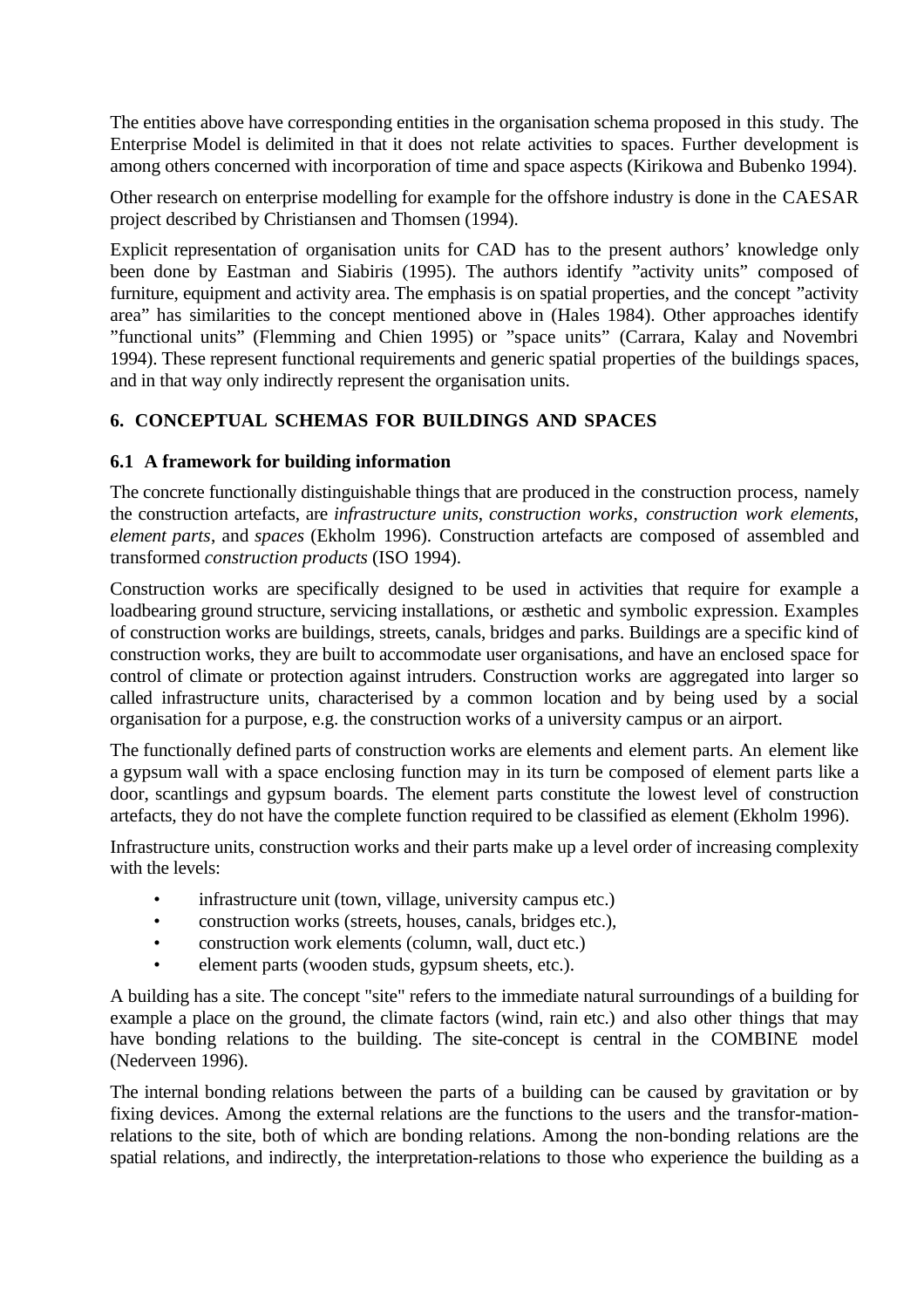The entities above have corresponding entities in the organisation schema proposed in this study. The Enterprise Model is delimited in that it does not relate activities to spaces. Further development is among others concerned with incorporation of time and space aspects (Kirikowa and Bubenko 1994).

Other research on enterprise modelling for example for the offshore industry is done in the CAESAR project described by Christiansen and Thomsen (1994).

Explicit representation of organisation units for CAD has to the present authors' knowledge only been done by Eastman and Siabiris (1995). The authors identify "activity units" composed of furniture, equipment and activity area. The emphasis is on spatial properties, and the concept "activity area" has similarities to the concept mentioned above in (Hales 1984). Other approaches identify "functional units" (Flemming and Chien 1995) or "space units" (Carrara, Kalay and Novembri 1994). These represent functional requirements and generic spatial properties of the buildings spaces, and in that way only indirectly represent the organisation units.

# **6. CONCEPTUAL SCHEMAS FOR BUILDINGS AND SPACES**

#### **6.1 A framework for building information**

The concrete functionally distinguishable things that are produced in the construction process, namely the construction artefacts, are *infrastructure units*, *construction works*, *construction work elements*, *element parts*, and *spaces* (Ekholm 1996). Construction artefacts are composed of assembled and transformed *construction products* (ISO 1994).

Construction works are specifically designed to be used in activities that require for example a loadbearing ground structure, servicing installations, or æsthetic and symbolic expression. Examples of construction works are buildings, streets, canals, bridges and parks. Buildings are a specific kind of construction works, they are built to accommodate user organisations, and have an enclosed space for control of climate or protection against intruders. Construction works are aggregated into larger so called infrastructure units, characterised by a common location and by being used by a social organisation for a purpose, e.g. the construction works of a university campus or an airport.

The functionally defined parts of construction works are elements and element parts. An element like a gypsum wall with a space enclosing function may in its turn be composed of element parts like a door, scantlings and gypsum boards. The element parts constitute the lowest level of construction artefacts, they do not have the complete function required to be classified as element (Ekholm 1996).

Infrastructure units, construction works and their parts make up a level order of increasing complexity with the levels:

- infrastructure unit (town, village, university campus etc.)
- construction works (streets, houses, canals, bridges etc.),
- construction work elements (column, wall, duct etc.)
- element parts (wooden studs, gypsum sheets, etc.).

A building has a site. The concept "site" refers to the immediate natural surroundings of a building for example a place on the ground, the climate factors (wind, rain etc.) and also other things that may have bonding relations to the building. The site-concept is central in the COMBINE model (Nederveen 1996).

The internal bonding relations between the parts of a building can be caused by gravitation or by fixing devices. Among the external relations are the functions to the users and the transfor-mationrelations to the site, both of which are bonding relations. Among the non-bonding relations are the spatial relations, and indirectly, the interpretation-relations to those who experience the building as a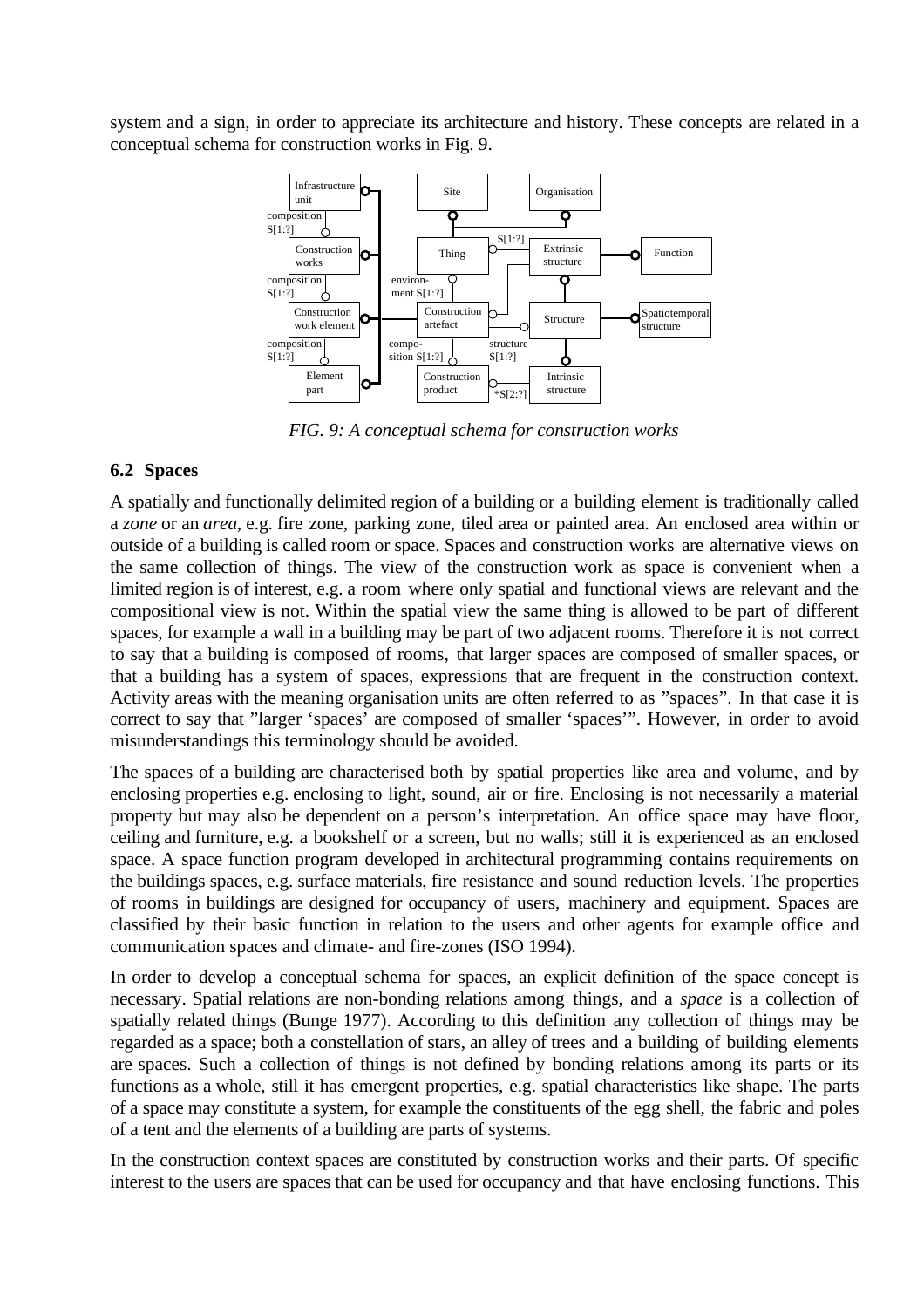system and a sign, in order to appreciate its architecture and history. These concepts are related in a conceptual schema for construction works in Fig. 9.

![](_page_10_Figure_1.jpeg)

*FIG. 9: A conceptual schema for construction works*

#### **6.2 Spaces**

A spatially and functionally delimited region of a building or a building element is traditionally called a *zone* or an *area*, e.g. fire zone, parking zone, tiled area or painted area. An enclosed area within or outside of a building is called room or space. Spaces and construction works are alternative views on the same collection of things. The view of the construction work as space is convenient when a limited region is of interest, e.g. a room where only spatial and functional views are relevant and the compositional view is not. Within the spatial view the same thing is allowed to be part of different spaces, for example a wall in a building may be part of two adjacent rooms. Therefore it is not correct to say that a building is composed of rooms, that larger spaces are composed of smaller spaces, or that a building has a system of spaces, expressions that are frequent in the construction context. Activity areas with the meaning organisation units are often referred to as "spaces". In that case it is correct to say that "larger 'spaces' are composed of smaller 'spaces'". However, in order to avoid misunderstandings this terminology should be avoided.

The spaces of a building are characterised both by spatial properties like area and volume, and by enclosing properties e.g. enclosing to light, sound, air or fire. Enclosing is not necessarily a material property but may also be dependent on a person's interpretation. An office space may have floor, ceiling and furniture, e.g. a bookshelf or a screen, but no walls; still it is experienced as an enclosed space. A space function program developed in architectural programming contains requirements on the buildings spaces, e.g. surface materials, fire resistance and sound reduction levels. The properties of rooms in buildings are designed for occupancy of users, machinery and equipment. Spaces are classified by their basic function in relation to the users and other agents for example office and communication spaces and climate- and fire-zones (ISO 1994).

In order to develop a conceptual schema for spaces, an explicit definition of the space concept is necessary. Spatial relations are non-bonding relations among things, and a *space* is a collection of spatially related things (Bunge 1977). According to this definition any collection of things may be regarded as a space; both a constellation of stars, an alley of trees and a building of building elements are spaces. Such a collection of things is not defined by bonding relations among its parts or its functions as a whole, still it has emergent properties, e.g. spatial characteristics like shape. The parts of a space may constitute a system, for example the constituents of the egg shell, the fabric and poles of a tent and the elements of a building are parts of systems.

In the construction context spaces are constituted by construction works and their parts. Of specific interest to the users are spaces that can be used for occupancy and that have enclosing functions. This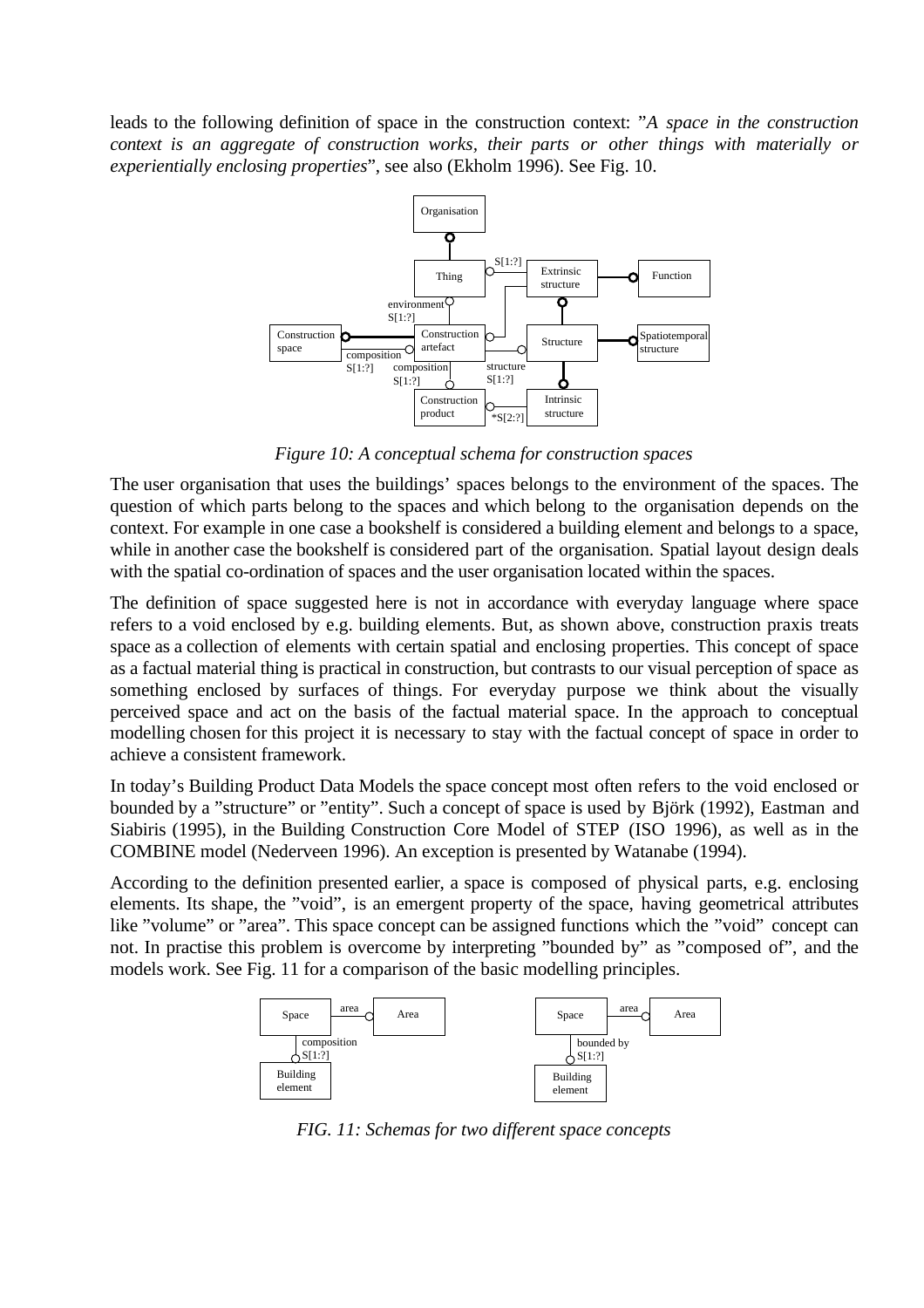leads to the following definition of space in the construction context: "*A space in the construction context is an aggregate of construction works, their parts or other things with materially or experientially enclosing properties*", see also (Ekholm 1996). See Fig. 10.

![](_page_11_Figure_1.jpeg)

*Figure 10: A conceptual schema for construction spaces*

The user organisation that uses the buildings' spaces belongs to the environment of the spaces. The question of which parts belong to the spaces and which belong to the organisation depends on the context. For example in one case a bookshelf is considered a building element and belongs to a space, while in another case the bookshelf is considered part of the organisation. Spatial layout design deals with the spatial co-ordination of spaces and the user organisation located within the spaces.

The definition of space suggested here is not in accordance with everyday language where space refers to a void enclosed by e.g. building elements. But, as shown above, construction praxis treats space as a collection of elements with certain spatial and enclosing properties. This concept of space as a factual material thing is practical in construction, but contrasts to our visual perception of space as something enclosed by surfaces of things. For everyday purpose we think about the visually perceived space and act on the basis of the factual material space. In the approach to conceptual modelling chosen for this project it is necessary to stay with the factual concept of space in order to achieve a consistent framework.

In today's Building Product Data Models the space concept most often refers to the void enclosed or bounded by a "structure" or "entity". Such a concept of space is used by Björk (1992), Eastman and Siabiris (1995), in the Building Construction Core Model of STEP (ISO 1996), as well as in the COMBINE model (Nederveen 1996). An exception is presented by Watanabe (1994).

According to the definition presented earlier, a space is composed of physical parts, e.g. enclosing elements. Its shape, the "void", is an emergent property of the space, having geometrical attributes like "volume" or "area". This space concept can be assigned functions which the "void" concept can not. In practise this problem is overcome by interpreting "bounded by" as "composed of", and the models work. See Fig. 11 for a comparison of the basic modelling principles.

![](_page_11_Figure_7.jpeg)

*FIG. 11: Schemas for two different space concepts*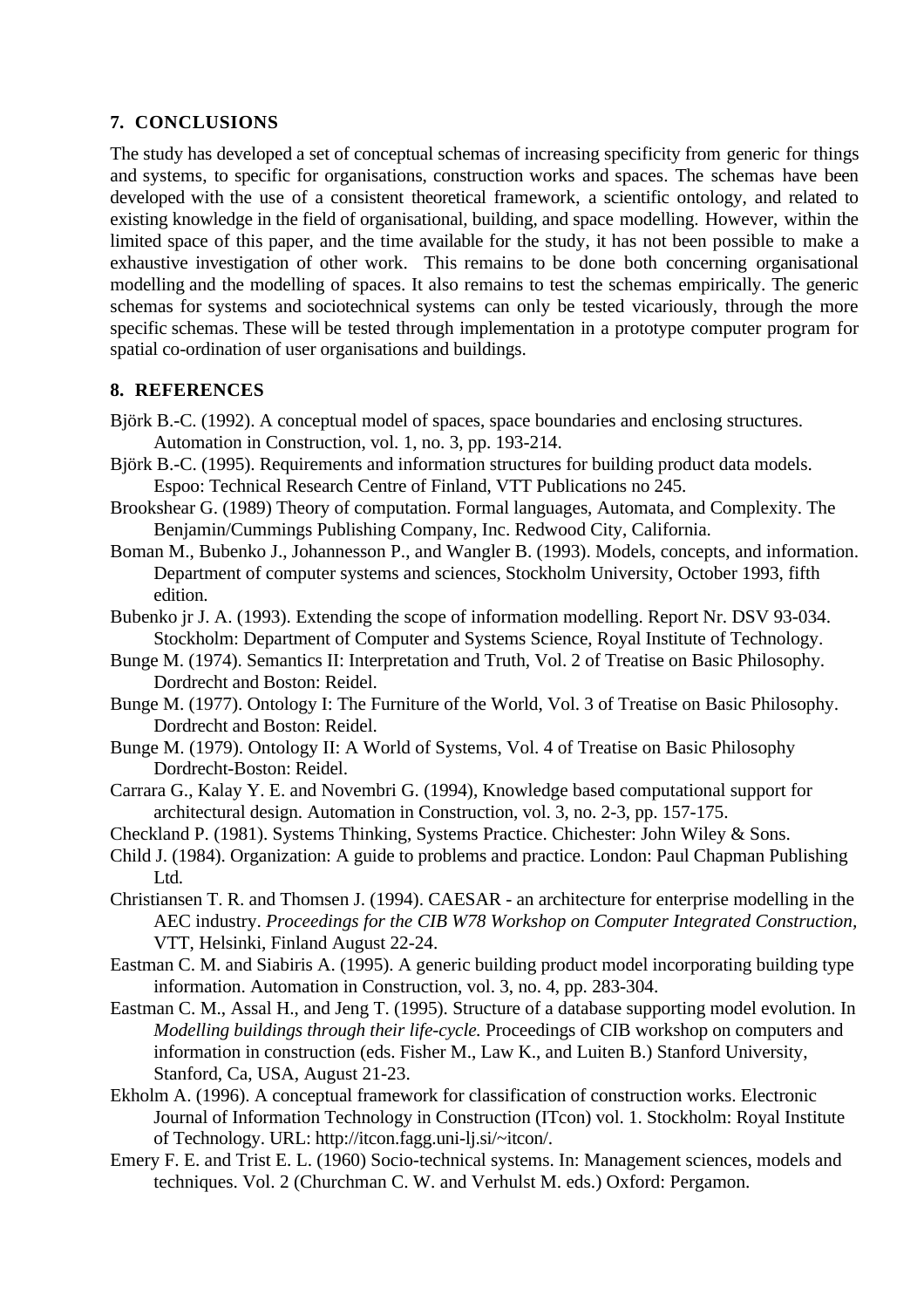## **7. CONCLUSIONS**

The study has developed a set of conceptual schemas of increasing specificity from generic for things and systems, to specific for organisations, construction works and spaces. The schemas have been developed with the use of a consistent theoretical framework, a scientific ontology, and related to existing knowledge in the field of organisational, building, and space modelling. However, within the limited space of this paper, and the time available for the study, it has not been possible to make a exhaustive investigation of other work. This remains to be done both concerning organisational modelling and the modelling of spaces. It also remains to test the schemas empirically. The generic schemas for systems and sociotechnical systems can only be tested vicariously, through the more specific schemas. These will be tested through implementation in a prototype computer program for spatial co-ordination of user organisations and buildings.

#### **8. REFERENCES**

- Björk B.-C. (1992). A conceptual model of spaces, space boundaries and enclosing structures. Automation in Construction, vol. 1, no. 3, pp. 193-214.
- Björk B.-C. (1995). Requirements and information structures for building product data models. Espoo: Technical Research Centre of Finland, VTT Publications no 245.
- Brookshear G. (1989) Theory of computation. Formal languages, Automata, and Complexity. The Benjamin/Cummings Publishing Company, Inc. Redwood City, California.
- Boman M., Bubenko J., Johannesson P., and Wangler B. (1993). Models, concepts, and information. Department of computer systems and sciences, Stockholm University, October 1993, fifth edition.
- Bubenko jr J. A. (1993). Extending the scope of information modelling. Report Nr. DSV 93-034. Stockholm: Department of Computer and Systems Science, Royal Institute of Technology.
- Bunge M. (1974). Semantics II: Interpretation and Truth, Vol. 2 of Treatise on Basic Philosophy. Dordrecht and Boston: Reidel.
- Bunge M. (1977). Ontology I: The Furniture of the World, Vol. 3 of Treatise on Basic Philosophy. Dordrecht and Boston: Reidel.
- Bunge M. (1979). Ontology II: A World of Systems, Vol. 4 of Treatise on Basic Philosophy Dordrecht-Boston: Reidel.
- Carrara G., Kalay Y. E. and Novembri G. (1994), Knowledge based computational support for architectural design. Automation in Construction, vol. 3, no. 2-3, pp. 157-175.
- Checkland P. (1981). Systems Thinking, Systems Practice. Chichester: John Wiley & Sons.
- Child J. (1984). Organization: A guide to problems and practice. London: Paul Chapman Publishing L<sub>td</sub>
- Christiansen T. R. and Thomsen J. (1994). CAESAR an architecture for enterprise modelling in the AEC industry. *Proceedings for the CIB W78 Workshop on Computer Integrated Construction,* VTT, Helsinki, Finland August 22-24.
- Eastman C. M. and Siabiris A. (1995). A generic building product model incorporating building type information. Automation in Construction, vol. 3, no. 4, pp. 283-304.
- Eastman C. M., Assal H., and Jeng T. (1995). Structure of a database supporting model evolution. In *Modelling buildings through their life-cycle.* Proceedings of CIB workshop on computers and information in construction (eds. Fisher M., Law K., and Luiten B.) Stanford University, Stanford, Ca, USA, August 21-23.
- Ekholm A. (1996). A conceptual framework for classification of construction works. Electronic Journal of Information Technology in Construction (ITcon) vol. 1. Stockholm: Royal Institute of Technology. URL: http://itcon.fagg.uni-lj.si/~itcon/.
- Emery F. E. and Trist E. L. (1960) Socio-technical systems. In: Management sciences, models and techniques. Vol. 2 (Churchman C. W. and Verhulst M. eds.) Oxford: Pergamon.